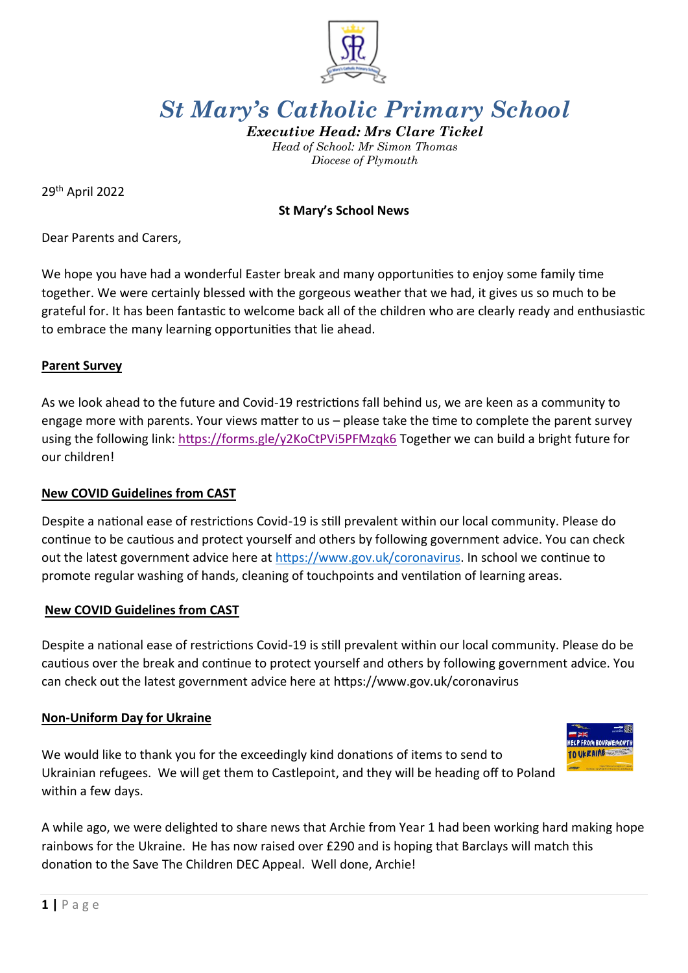

# *St Mary's Catholic Primary School*

*Executive Head: Mrs Clare Tickel Head of School: Mr Simon Thomas Diocese of Plymouth*

29th April 2022

### **St Mary's School News**

Dear Parents and Carers,

We hope you have had a wonderful Easter break and many opportunities to enjoy some family time together. We were certainly blessed with the gorgeous weather that we had, it gives us so much to be grateful for. It has been fantastic to welcome back all of the children who are clearly ready and enthusiastic to embrace the many learning opportunities that lie ahead.

#### **Parent Survey**

As we look ahead to the future and Covid-19 restrictions fall behind us, we are keen as a community to engage more with parents. Your views matter to us – please take the time to complete the parent survey using the following link:<https://forms.gle/y2KoCtPVi5PFMzqk6> Together we can build a bright future for our children!

#### **New COVID Guidelines from CAST**

Despite a national ease of restrictions Covid-19 is still prevalent within our local community. Please do continue to be cautious and protect yourself and others by following government advice. You can check out the latest government advice here at [https://www.gov.uk/coronavirus.](https://www.gov.uk/coronavirus) In school we continue to promote regular washing of hands, cleaning of touchpoints and ventilation of learning areas.

#### **New COVID Guidelines from CAST**

Despite a national ease of restrictions Covid-19 is still prevalent within our local community. Please do be cautious over the break and continue to protect yourself and others by following government advice. You can check out the latest government advice here at https://www.gov.uk/coronavirus

#### **Non-Uniform Day for Ukraine**

We would like to thank you for the exceedingly kind donations of items to send to Ukrainian refugees. We will get them to Castlepoint, and they will be heading off to Poland within a few days.



A while ago, we were delighted to share news that Archie from Year 1 had been working hard making hope rainbows for the Ukraine. He has now raised over £290 and is hoping that Barclays will match this donation to the Save The Children DEC Appeal. Well done, Archie!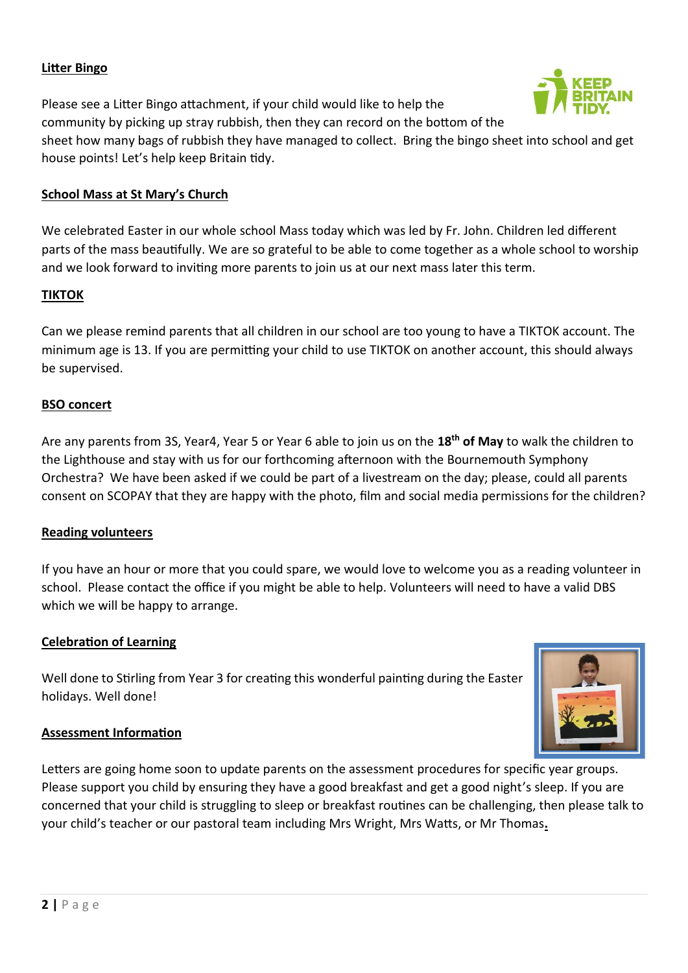# **Litter Bingo**

Please see a Litter Bingo attachment, if your child would like to help the community by picking up stray rubbish, then they can record on the bottom of the



sheet how many bags of rubbish they have managed to collect. Bring the bingo sheet into school and get house points! Let's help keep Britain tidy.

## **School Mass at St Mary's Church**

We celebrated Easter in our whole school Mass today which was led by Fr. John. Children led different parts of the mass beautifully. We are so grateful to be able to come together as a whole school to worship and we look forward to inviting more parents to join us at our next mass later this term.

## **TIKTOK**

Can we please remind parents that all children in our school are too young to have a TIKTOK account. The minimum age is 13. If you are permitting your child to use TIKTOK on another account, this should always be supervised.

# **BSO concert**

Are any parents from 3S, Year4, Year 5 or Year 6 able to join us on the **18th of May** to walk the children to the Lighthouse and stay with us for our forthcoming afternoon with the Bournemouth Symphony Orchestra? We have been asked if we could be part of a livestream on the day; please, could all parents consent on SCOPAY that they are happy with the photo, film and social media permissions for the children?

## **Reading volunteers**

If you have an hour or more that you could spare, we would love to welcome you as a reading volunteer in school. Please contact the office if you might be able to help. Volunteers will need to have a valid DBS which we will be happy to arrange.

## **Celebration of Learning**

Well done to Stirling from Year 3 for creating this wonderful painting during the Easter holidays. Well done!



## **Assessment Information**

Letters are going home soon to update parents on the assessment procedures for specific year groups. Please support you child by ensuring they have a good breakfast and get a good night's sleep. If you are concerned that your child is struggling to sleep or breakfast routines can be challenging, then please talk to your child's teacher or our pastoral team including Mrs Wright, Mrs Watts, or Mr Thomas**.**